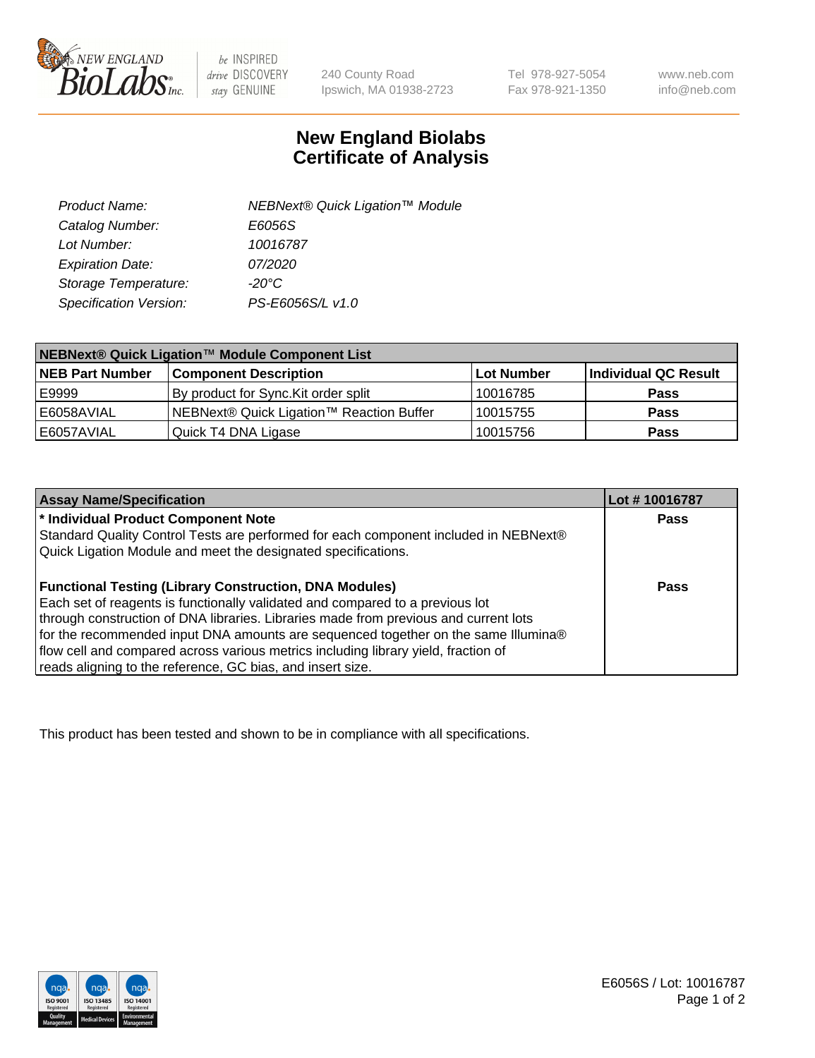

 $be$  INSPIRED drive DISCOVERY stay GENUINE

240 County Road Ipswich, MA 01938-2723 Tel 978-927-5054 Fax 978-921-1350 www.neb.com info@neb.com

## **New England Biolabs Certificate of Analysis**

| Product Name:           | NEBNext® Quick Ligation™ Module |
|-------------------------|---------------------------------|
| Catalog Number:         | E6056S                          |
| Lot Number:             | 10016787                        |
| <b>Expiration Date:</b> | 07/2020                         |
| Storage Temperature:    | $-20^{\circ}$ C                 |
| Specification Version:  | PS-E6056S/L v1.0                |

| NEBNext® Quick Ligation™ Module Component List |                                          |            |                      |  |
|------------------------------------------------|------------------------------------------|------------|----------------------|--|
| <b>NEB Part Number</b>                         | <b>Component Description</b>             | Lot Number | Individual QC Result |  |
| E9999                                          | By product for Sync. Kit order split     | 10016785   | <b>Pass</b>          |  |
| E6058AVIAL                                     | NEBNext® Quick Ligation™ Reaction Buffer | 10015755   | <b>Pass</b>          |  |
| E6057AVIAL                                     | Quick T4 DNA Ligase                      | 10015756   | <b>Pass</b>          |  |

| <b>Assay Name/Specification</b>                                                      | Lot #10016787 |
|--------------------------------------------------------------------------------------|---------------|
| * Individual Product Component Note                                                  | <b>Pass</b>   |
| Standard Quality Control Tests are performed for each component included in NEBNext® |               |
| Quick Ligation Module and meet the designated specifications.                        |               |
| <b>Functional Testing (Library Construction, DNA Modules)</b>                        | Pass          |
| Each set of reagents is functionally validated and compared to a previous lot        |               |
| through construction of DNA libraries. Libraries made from previous and current lots |               |
| for the recommended input DNA amounts are sequenced together on the same Illumina®   |               |
| flow cell and compared across various metrics including library yield, fraction of   |               |
| reads aligning to the reference, GC bias, and insert size.                           |               |

This product has been tested and shown to be in compliance with all specifications.